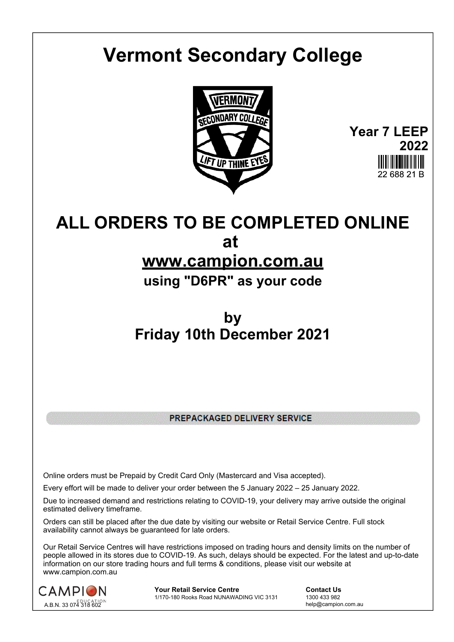# **Vermont Secondary College**



**Year 7 LEEP 2022** 22 688 21 P

## **ALL ORDERS TO BE COMPLETED ONLINE at**

### **www.campion.com.au**

**using "D6PR" as your code**

## **by Friday 10th December 2021**

PREPACKAGED DELIVERY SERVICE

Online orders must be Prepaid by Credit Card Only (Mastercard and Visa accepted).

Every effort will be made to deliver your order between the 5 January 2022 – 25 January 2022.

Due to increased demand and restrictions relating to COVID-19, your delivery may arrive outside the original estimated delivery timeframe.

Orders can still be placed after the due date by visiting our website or Retail Service Centre. Full stock availability cannot always be guaranteed for late orders.

Our Retail Service Centres will have restrictions imposed on trading hours and density limits on the number of people allowed in its stores due to COVID-19. As such, delays should be expected. For the latest and up-to-date information on our store trading hours and full terms & conditions, please visit our website at www.campion.com.au



**Your Retail Service Centre**  Contact Us<br>1/170-180 Rooks Road NUNAWADING VIC 3131 1300 433 982 1/170-180 Rooks Road NUNAWADING VIC 3131

help@campion.com.au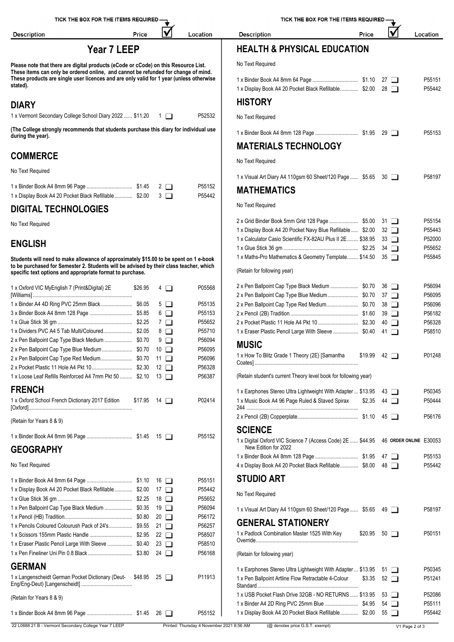| TICK THE BOX FOR THE ITEMS REQUIRED -                                                                                                                                                                                                        |         |                    | TICK THE BOX FOR THE ITEMS REQUIRED - |                                                                                                                          |         |                          |                  |
|----------------------------------------------------------------------------------------------------------------------------------------------------------------------------------------------------------------------------------------------|---------|--------------------|---------------------------------------|--------------------------------------------------------------------------------------------------------------------------|---------|--------------------------|------------------|
| <b>Description</b>                                                                                                                                                                                                                           | Price   | lV                 | Location                              | <b>Description</b>                                                                                                       | Price   |                          | Location         |
| Year 7 LEEP                                                                                                                                                                                                                                  |         |                    |                                       | <b>HEALTH &amp; PHYSICAL EDUCATION</b>                                                                                   |         |                          |                  |
| Please note that there are digital products (eCode or cCode) on this Resource List.                                                                                                                                                          |         |                    |                                       | No Text Required                                                                                                         |         |                          |                  |
| These items can only be ordered online, and cannot be refunded for change of mind.<br>These products are single user licences and are only valid for 1 year (unless otherwise<br>stated).                                                    |         |                    |                                       | 1 x Display Book A4 20 Pocket Black Refillable \$2.00 28                                                                 |         |                          | P55151<br>P55442 |
| <b>DIARY</b>                                                                                                                                                                                                                                 |         |                    |                                       | <b>HISTORY</b>                                                                                                           |         |                          |                  |
| 1 x Vermont Secondary College School Diary 2022  \$11.20 1                                                                                                                                                                                   |         |                    | P52532                                | No Text Required                                                                                                         |         |                          |                  |
| (The College strongly recommends that students purchase this diary for individual use<br>during the year).                                                                                                                                   |         |                    |                                       |                                                                                                                          |         |                          | P55153           |
|                                                                                                                                                                                                                                              |         |                    |                                       | <b>MATERIALS TECHNOLOGY</b>                                                                                              |         |                          |                  |
| <b>COMMERCE</b>                                                                                                                                                                                                                              |         |                    |                                       | No Text Required                                                                                                         |         |                          |                  |
| No Text Required                                                                                                                                                                                                                             |         |                    |                                       | 1 x Visual Art Diary A4 110gsm 60 Sheet/120 Page \$5.65 30                                                               |         |                          | P58197           |
| 1 x Display Book A4 20 Pocket Black Refillable \$2.00 3                                                                                                                                                                                      |         |                    | P55152<br>P55442                      | <b>MATHEMATICS</b>                                                                                                       |         |                          |                  |
| <b>DIGITAL TECHNOLOGIES</b>                                                                                                                                                                                                                  |         |                    |                                       | No Text Required                                                                                                         |         |                          |                  |
| No Text Required                                                                                                                                                                                                                             |         |                    |                                       |                                                                                                                          |         |                          | P55154           |
|                                                                                                                                                                                                                                              |         |                    |                                       | 1 x Display Book A4 20 Pocket Navy Blue Refillable  \$2.00<br>1 x Calculator Casio Scientific FX-82AU Plus II 2E \$38.95 |         | $32 \Box$<br>$33$ $\Box$ | P55443<br>P52000 |
| <b>ENGLISH</b>                                                                                                                                                                                                                               |         |                    |                                       |                                                                                                                          |         |                          | P55652           |
| Students will need to make allowance of approximately \$15.00 to be spent on 1 e-book<br>to be purchased for Semester 2. Students will be advised by their class teacher, which<br>specific text options and appropriate format to purchase. |         |                    |                                       | 1 x Maths-Pro Mathematics & Geometry Template \$14.50 35<br>(Retain for following year)                                  |         |                          | P55845           |
| 1 x Oxford VIC MyEnglish 7 (Print&Digital) 2E                                                                                                                                                                                                | \$26.95 | $4\Box$            | P05568                                |                                                                                                                          |         |                          | P56094           |
|                                                                                                                                                                                                                                              |         |                    |                                       | 2 x Pen Ballpoint Cap Type Blue Medium \$0.70 37                                                                         |         |                          | P56095           |
| 1 x Binder A4 4D Ring PVC 25mm Black \$6.05                                                                                                                                                                                                  |         | $5\Box$<br>$6\Box$ | P55135<br>P55153                      |                                                                                                                          |         | 38 □<br>$39$ $\Box$      | P56096<br>P56182 |
|                                                                                                                                                                                                                                              |         | $7\Box$            | P55652                                |                                                                                                                          |         | 40 □                     | P56328           |
|                                                                                                                                                                                                                                              |         | 8 □                | P55710                                | 1 x Eraser Plastic Pencil Large With Sleeve  \$0.40 41                                                                   |         |                          | P58510           |
| 2 x Pen Ballpoint Cap Type Black Medium  \$0.70                                                                                                                                                                                              |         | $9$ $\Box$         | P56094                                | <b>MUSIC</b>                                                                                                             |         |                          |                  |
| 2 x Pen Ballpoint Cap Type Blue Medium \$0.70 10                                                                                                                                                                                             |         |                    | P56095                                |                                                                                                                          |         |                          |                  |
|                                                                                                                                                                                                                                              |         |                    | P56096                                | 1 x How To Blitz Grade 1 Theory (2E) [Samantha                                                                           | \$19.99 | 42 □                     | P01248           |
|                                                                                                                                                                                                                                              |         |                    | P56328                                |                                                                                                                          |         |                          |                  |
| 1 x Loose Leaf Refills Reinforced A4 7mm Pkt 50  \$2.10 13                                                                                                                                                                                   |         |                    | P56387                                | (Retain student's current Theory level book for following year)                                                          |         |                          |                  |
| <b>FRENCH</b>                                                                                                                                                                                                                                |         |                    |                                       | 1 x Earphones Stereo Ultra Lightweight With Adapter  \$13.95 43                                                          |         |                          | P50345           |
| 1 x Oxford School French Dictionary 2017 Edition \$17.95 14                                                                                                                                                                                  |         |                    | P02414                                | 1 x Music Book A4 96 Page Ruled & Staved Spirax \$2.35 44                                                                |         |                          | P50444           |
| (Retain for Years 8 & 9)                                                                                                                                                                                                                     |         |                    |                                       |                                                                                                                          |         |                          | P56176           |
|                                                                                                                                                                                                                                              |         |                    | P55152                                | <b>SCIENCE</b>                                                                                                           |         |                          |                  |
| <b>GEOGRAPHY</b>                                                                                                                                                                                                                             |         |                    |                                       | 1 x Digital Oxford VIC Science 7 (Access Code) 2E  \$44.95 46 ORDER ONLINE E30053<br>New Edition for 2022                |         |                          |                  |
|                                                                                                                                                                                                                                              |         |                    |                                       |                                                                                                                          |         |                          | P55153           |
| No Text Required                                                                                                                                                                                                                             |         |                    |                                       | 4 x Display Book A4 20 Pocket Black Refillable \$8.00 48                                                                 |         |                          | P55442           |
|                                                                                                                                                                                                                                              |         |                    | P55151                                | <b>STUDIO ART</b>                                                                                                        |         |                          |                  |
| 1 x Display Book A4 20 Pocket Black Refillable \$2.00 17                                                                                                                                                                                     |         |                    | P55442                                | No Text Required                                                                                                         |         |                          |                  |
|                                                                                                                                                                                                                                              |         |                    | P55652                                |                                                                                                                          |         |                          |                  |
| 1 x Pen Ballpoint Cap Type Black Medium  \$0.35 19                                                                                                                                                                                           |         |                    | P56094                                | 1 x Visual Art Diary A4 110gsm 60 Sheet/120 Page \$5.65 49                                                               |         |                          | P58197           |
| 1 x Pencils Coloured Colourush Pack of 24's \$9.55 21                                                                                                                                                                                        |         |                    | P56172<br>P56257                      | <b>GENERAL STATIONERY</b>                                                                                                |         |                          |                  |
|                                                                                                                                                                                                                                              |         |                    | P58507                                | 1 x Padlock Combination Master 1525 With Key                                                                             |         | $$20.95$ 50 $\Box$       | P50151           |
| 1 x Eraser Plastic Pencil Large With Sleeve  \$0.40 23                                                                                                                                                                                       |         |                    | P58510                                |                                                                                                                          |         |                          |                  |
|                                                                                                                                                                                                                                              |         |                    | P56168                                | (Retain for following year)                                                                                              |         |                          |                  |
| <b>GERMAN</b>                                                                                                                                                                                                                                |         |                    |                                       | 1 x Earphones Stereo Ultra Lightweight With Adapter  \$13.95 51                                                          |         |                          | P50345           |
| 1 x Langenscheidt German Pocket Dictionary (Deut- \$48.95 25                                                                                                                                                                                 |         |                    | P11913                                | 1 x Pen Ballpoint Artline Flow Retractable 4-Colour                                                                      |         | $$3.35$ 52 $\Box$        | P51241           |
| (Retain for Years 8 & 9)                                                                                                                                                                                                                     |         |                    |                                       | 1 x USB Pocket Flash Drive 32GB - NO RETURNS \$13.95                                                                     |         | 53 □                     | P52086           |
|                                                                                                                                                                                                                                              |         |                    |                                       |                                                                                                                          |         | $54$ $\Box$              | P55111           |
|                                                                                                                                                                                                                                              |         |                    | P55152                                | 1 x Display Book A4 20 Pocket Black Refillable \$2.00 55                                                                 |         |                          | P55442           |

S REQUIRED -₹  $\overline{\mathsf{M}}$ Price

### Location

#### 22 L0688 21 B - Vermont Secondary College Year 7 LEEP Printed: Thursday 4 November 2021 8:56 AM (@ denotes price G.S.T. exempt) V1 Page 2 of 3